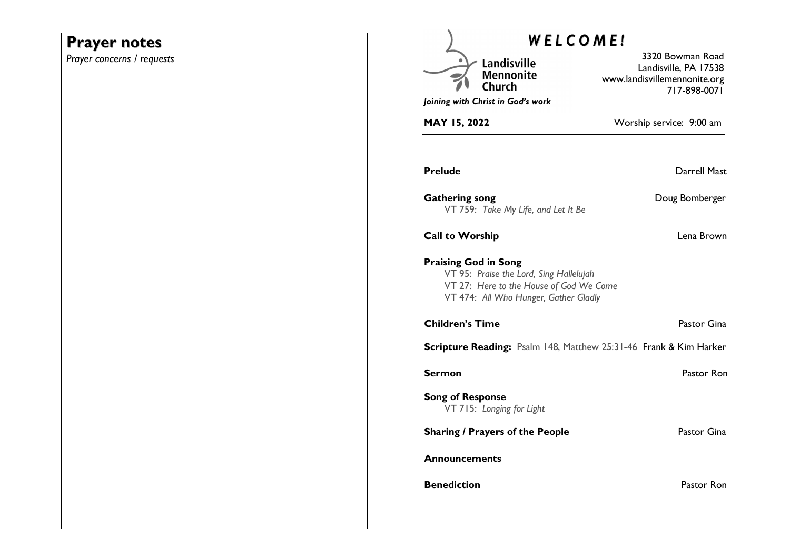# **Prayer notes**

*Prayer concerns / requests* 

| <b>WELCOME!</b>                                                                                                                                            |                                                                                           |
|------------------------------------------------------------------------------------------------------------------------------------------------------------|-------------------------------------------------------------------------------------------|
| Landisville<br><b>Mennonite</b>                                                                                                                            | 3320 Bowman Road<br>Landisville, PA 17538<br>www.landisvillemennonite.org<br>717-898-0071 |
| Joining with Christ in God's work                                                                                                                          |                                                                                           |
| <b>MAY 15, 2022</b>                                                                                                                                        | Worship service: 9:00 am                                                                  |
|                                                                                                                                                            |                                                                                           |
| <b>Prelude</b>                                                                                                                                             | <b>Darrell Mast</b>                                                                       |
| <b>Gathering song</b><br>VT 759: Take My Life, and Let It Be                                                                                               | Doug Bomberger                                                                            |
| <b>Call to Worship</b>                                                                                                                                     | Lena Brown                                                                                |
| <b>Praising God in Song</b><br>VT 95: Praise the Lord, Sing Hallelujah<br>VT 27: Here to the House of God We Come<br>VT 474: All Who Hunger, Gather Gladly |                                                                                           |
| <b>Children's Time</b>                                                                                                                                     | Pastor Gina                                                                               |
| <b>Scripture Reading:</b> Psalm 148, Matthew 25:31-46 Frank & Kim Harker                                                                                   |                                                                                           |
| Sermon                                                                                                                                                     | Pastor Ron                                                                                |
| <b>Song of Response</b><br>VT 715: Longing for Light                                                                                                       |                                                                                           |
| <b>Sharing / Prayers of the People</b>                                                                                                                     | Pastor Gina                                                                               |
| <b>Announcements</b>                                                                                                                                       |                                                                                           |
| <b>Benediction</b>                                                                                                                                         | Pastor Ron                                                                                |